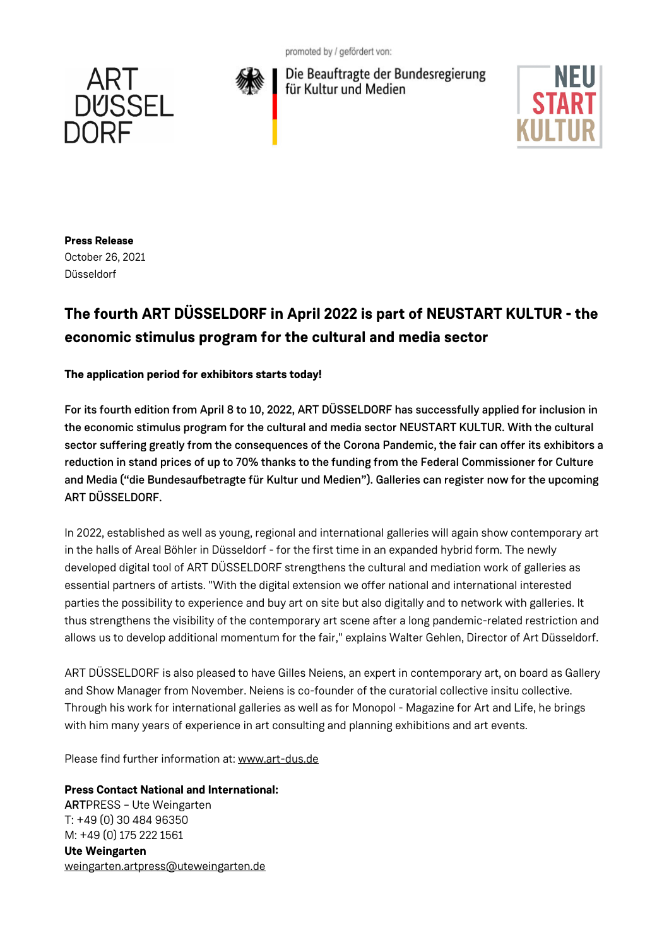promoted by / gefördert von:





Die Beauftragte der Bundesregierung für Kultur und Medien



**Press Release** October 26, 2021

Düsseldorf

## **The fourth ART DÜSSELDORF in April 2022 is part of NEUSTART KULTUR - the economic stimulus program for the cultural and media sector**

## **The application period for exhibitors starts today!**

For its fourth edition from April 8 to 10, 2022, ART DÜSSELDORF has successfully applied for inclusion in the economic stimulus program for the cultural and media sector NEUSTART KULTUR. With the cultural sector suffering greatly from the consequences of the Corona Pandemic, the fair can offer its exhibitors a reduction in stand prices of up to 70% thanks to the funding from the Federal Commissioner for Culture and Media ("die Bundesaufbetragte für Kultur und Medien"). Galleries can register now for the upcoming ART DÜSSELDORF.

In 2022, established as well as young, regional and international galleries will again show contemporary art in the halls of Areal Böhler in Düsseldorf - for the first time in an expanded hybrid form. The newly developed digital tool of ART DÜSSELDORF strengthens the cultural and mediation work of galleries as essential partners of artists. "With the digital extension we offer national and international interested parties the possibility to experience and buy art on site but also digitally and to network with galleries. It thus strengthens the visibility of the contemporary art scene after a long pandemic-related restriction and allows us to develop additional momentum for the fair," explains Walter Gehlen, Director of Art Düsseldorf.

ART DÜSSELDORF is also pleased to have Gilles Neiens, an expert in contemporary art, on board as Gallery and Show Manager from November. Neiens is co-founder of the curatorial collective insitu collective. Through his work for international galleries as well as for Monopol - Magazine for Art and Life, he brings with him many years of experience in art consulting and planning exhibitions and art events.

Please find further information at: www.art-dus.de

**Press Contact National and International:** ARTPRESS – Ute Weingarten T: +49 (0) 30 484 96350 M: +49 (0) 175 222 1561 **Ute Weingarten** weingarten.artpress@uteweingarten.de